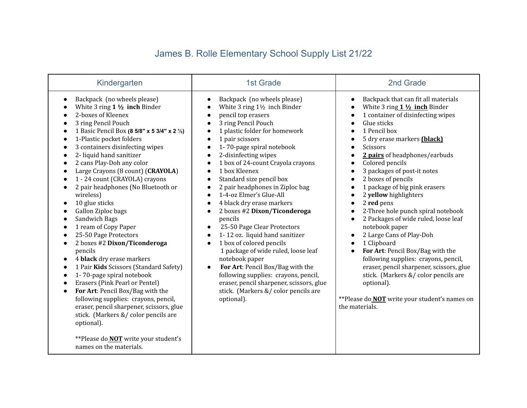## James B. Rolle Elementary School Supply List 21/22

| Kindergarten                                                                                                                                                                                                                                                                                                                                                                                                                                                                                                                                                                                                                                                                                                                                                                                                                                                                                                                                                                                                                                                                                                                                                                  | <b>1st Grade</b>                                                                                                                                                                                                                                                                                                                                                                                                                                                                                                                                                                                                                                                                                                                                                                                                                                                                      | 2nd Grade                                                                                                                                                                                                                                                                                                                                                                                                                                                                                                                                                                                                                                                                                                                                                                                                                                                                                                                                                                                                                                  |
|-------------------------------------------------------------------------------------------------------------------------------------------------------------------------------------------------------------------------------------------------------------------------------------------------------------------------------------------------------------------------------------------------------------------------------------------------------------------------------------------------------------------------------------------------------------------------------------------------------------------------------------------------------------------------------------------------------------------------------------------------------------------------------------------------------------------------------------------------------------------------------------------------------------------------------------------------------------------------------------------------------------------------------------------------------------------------------------------------------------------------------------------------------------------------------|---------------------------------------------------------------------------------------------------------------------------------------------------------------------------------------------------------------------------------------------------------------------------------------------------------------------------------------------------------------------------------------------------------------------------------------------------------------------------------------------------------------------------------------------------------------------------------------------------------------------------------------------------------------------------------------------------------------------------------------------------------------------------------------------------------------------------------------------------------------------------------------|--------------------------------------------------------------------------------------------------------------------------------------------------------------------------------------------------------------------------------------------------------------------------------------------------------------------------------------------------------------------------------------------------------------------------------------------------------------------------------------------------------------------------------------------------------------------------------------------------------------------------------------------------------------------------------------------------------------------------------------------------------------------------------------------------------------------------------------------------------------------------------------------------------------------------------------------------------------------------------------------------------------------------------------------|
| Backpack (no wheels please)<br>$\bullet$<br>White $3$ ring $1\frac{1}{2}$ inch Binder<br>2-boxes of Kleenex<br>3 ring Pencil Pouch<br>1 Basic Pencil Box (8 5/8" x 5 3/4" x 2 1/2)<br>$\bullet$<br>1-Plastic pocket folders<br>$\bullet$<br>3 containers disinfecting wipes<br>2- liquid hand sanitizer<br>$\bullet$<br>2 cans Play-Doh any color<br>$\bullet$<br>Large Crayons (8 count) (CRAYOLA)<br>1 - 24 count (CRAYOLA) crayons<br>2 pair headphones (No Bluetooth or<br>$\bullet$<br>wireless)<br>10 glue sticks<br>$\bullet$<br>Gallon Ziploc bags<br>$\bullet$<br>Sandwich Bags<br>$\bullet$<br>1 ream of Copy Paper<br>$\bullet$<br>25-50 Page Protectors<br>2 boxes #2 Dixon/Ticonderoga<br>$\bullet$<br>pencils<br>4 black dry erase markers<br>$\bullet$<br>1 Pair Kids Scissors (Standard Safety)<br>$\bullet$<br>1-70-page spiral notebook<br>$\bullet$<br>Erasers (Pink Pearl or Pentel)<br>For Art: Pencil Box/Bag with the<br>$\bullet$<br>following supplies: crayons, pencil,<br>eraser, pencil sharpener, scissors, glue<br>stick. (Markers &/ color pencils are<br>optional).<br>**Please do <b>NOT</b> write your student's<br>names on the materials. | Backpack (no wheels please)<br>White $3$ ring $1\frac{1}{2}$ inch Binder<br>pencil top erasers<br>3 ring Pencil Pouch<br>1 plastic folder for homework<br>1 pair scissors<br>$\bullet$<br>1-70-page spiral notebook<br>$\bullet$<br>2-disinfecting wipes<br>$\bullet$<br>1 box of 24-count Crayola crayons<br>1 box Kleenex<br>Standard size pencil box<br>2 pair headphones in Ziploc bag<br>1-4-oz Elmer's Glue-All<br>$\bullet$<br>4 black dry erase markers<br>$\bullet$<br>2 boxes #2 Dixon/Ticonderoga<br>$\bullet$<br>pencils<br>25-50 Page Clear Protectors<br>1-12 oz. liquid hand sanitizer<br>1 box of colored pencils<br>1 package of wide ruled, loose leaf<br>notebook paper<br>For Art: Pencil Box/Bag with the<br>$\bullet$<br>following supplies: crayons, pencil,<br>eraser, pencil sharpener, scissors, glue<br>stick. (Markers &/ color pencils are<br>optional). | Backpack that can fit all materials<br>$\bullet$<br>White $3$ ring $1\frac{1}{2}$ inch Binder<br>$\bullet$<br>1 container of disinfecting wipes<br>$\bullet$<br>Glue sticks<br>$\bullet$<br>1 Pencil box<br>$\bullet$<br>5 dry erase markers (black)<br>$\bullet$<br>Scissors<br>$\bullet$<br>2 pairs of headphones/earbuds<br>$\bullet$<br>Colored pencils<br>$\bullet$<br>3 packages of post-it notes<br>$\bullet$<br>2 boxes of pencils<br>$\bullet$<br>1 package of big pink erasers<br>$\bullet$<br>2 yellow highlighters<br>$\bullet$<br>2 red pens<br>$\bullet$<br>2-Three hole punch spiral notebook<br>$\bullet$<br>2 Packages of wide ruled, loose leaf<br>$\bullet$<br>notebook paper<br>2 Large Cans of Play-Doh<br>$\bullet$<br>1 Clipboard<br>$\bullet$<br>For Art: Pencil Box/Bag with the<br>$\bullet$<br>following supplies: crayons, pencil,<br>eraser, pencil sharpener, scissors, glue<br>stick. (Markers &/ color pencils are<br>optional).<br>**Please do <b>NOT</b> write your student's names on<br>the materials. |